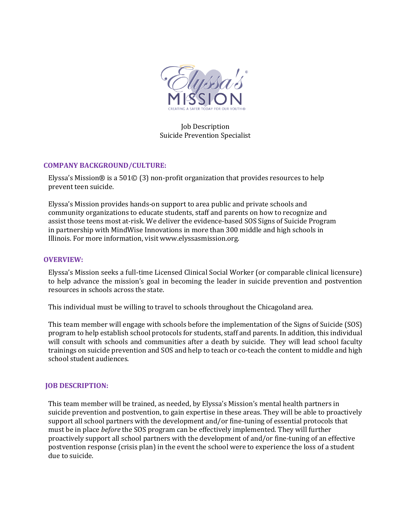

Job Description Suicide Prevention Specialist

### **COMPANY BACKGROUND/CULTURE:**

Elyssa's Mission® is a 501© (3) non-profit organization that provides resources to help prevent teen suicide.

Elyssa's Mission provides hands-on support to area public and private schools and community organizations to educate students, staff and parents on how to recognize and assist those teens most at-risk. We deliver the evidence-based SOS Signs of Suicide Program in partnership with MindWise Innovations in more than 300 middle and high schools in Illinois. For more information, visit www.elyssasmission.org.

## **OVERVIEW:**

Elyssa's Mission seeks a full-time Licensed Clinical Social Worker (or comparable clinical licensure) to help advance the mission's goal in becoming the leader in suicide prevention and postvention resources in schools across the state.

This individual must be willing to travel to schools throughout the Chicagoland area.

This team member will engage with schools before the implementation of the Signs of Suicide (SOS) program to help establish school protocols for students, staff and parents. In addition, this individual will consult with schools and communities after a death by suicide. They will lead school faculty trainings on suicide prevention and SOS and help to teach or co-teach the content to middle and high school student audiences.

### **JOB DESCRIPTION:**

This team member will be trained, as needed, by Elyssa's Mission's mental health partners in suicide prevention and postvention, to gain expertise in these areas. They will be able to proactively support all school partners with the development and/or fine-tuning of essential protocols that must be in place *before* the SOS program can be effectively implemented. They will further proactively support all school partners with the development of and/or fine-tuning of an effective postvention response (crisis plan) in the event the school were to experience the loss of a student due to suicide.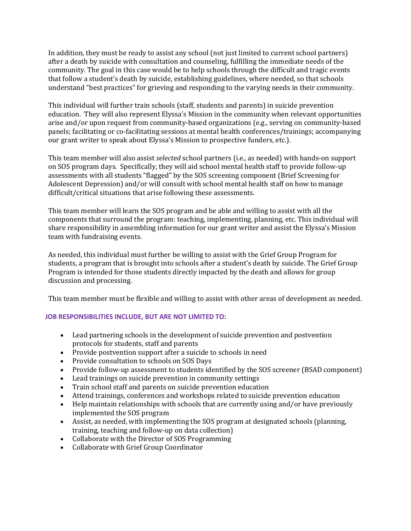In addition, they must be ready to assist any school (not just limited to current school partners) after a death by suicide with consultation and counseling, fulfilling the immediate needs of the community. The goal in this case would be to help schools through the difficult and tragic events that follow a student's death by suicide, establishing guidelines, where needed, so that schools understand "best practices" for grieving and responding to the varying needs in their community.

This individual will further train schools (staff, students and parents) in suicide prevention education. They will also represent Elyssa's Mission in the community when relevant opportunities arise and/or upon request from community-based organizations (e.g., serving on community-based panels; facilitating or co-facilitating sessions at mental health conferences/trainings; accompanying our grant writer to speak about Elyssa's Mission to prospective funders, etc.).

This team member will also assist *selected* school partners (i.e., as needed) with hands-on support on SOS program days. Specifically, they will aid school mental health staff to provide follow-up assessments with all students "flagged" by the SOS screening component (Brief Screening for Adolescent Depression) and/or will consult with school mental health staff on how to manage difficult/critical situations that arise following these assessments.

This team member will learn the SOS program and be able and willing to assist with all the components that surround the program: teaching, implementing, planning, etc. This individual will share responsibility in assembling information for our grant writer and assist the Elyssa's Mission team with fundraising events.

As needed, this individual must further be willing to assist with the Grief Group Program for students, a program that is brought into schools after a student's death by suicide. The Grief Group Program is intended for those students directly impacted by the death and allows for group discussion and processing.

This team member must be flexible and willing to assist with other areas of development as needed.

# **JOB RESPONSIBILITIES INCLUDE, BUT ARE NOT LIMITED TO:**

- Lead partnering schools in the development of suicide prevention and postvention protocols for students, staff and parents
- Provide postvention support after a suicide to schools in need
- Provide consultation to schools on SOS Days
- Provide follow-up assessment to students identified by the SOS screener (BSAD component)
- Lead trainings on suicide prevention in community settings
- Train school staff and parents on suicide prevention education
- Attend trainings, conferences and workshops related to suicide prevention education
- Help maintain relationships with schools that are currently using and/or have previously implemented the SOS program
- Assist, as needed, with implementing the SOS program at designated schools (planning, training, teaching and follow-up on data collection)
- Collaborate with the Director of SOS Programming
- Collaborate with Grief Group Coordinator